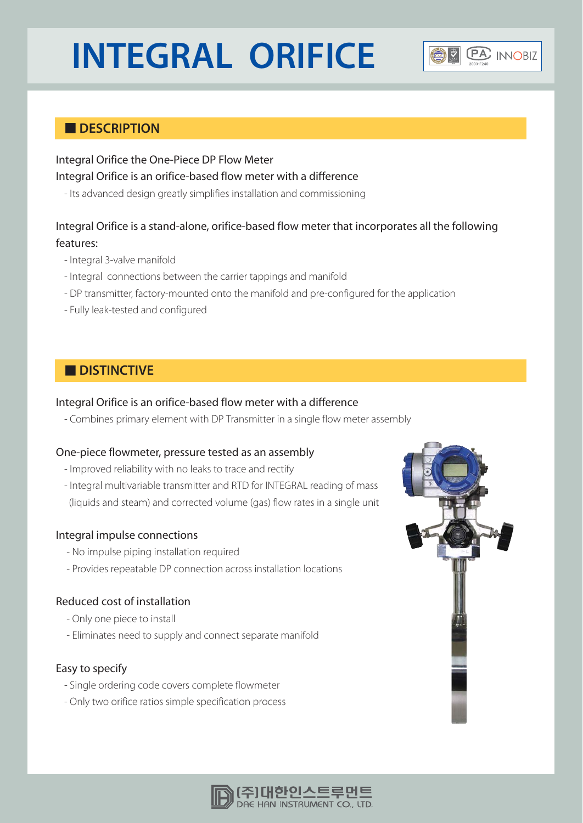# **INTEGRAL ORIFICE**



# **DESCRIPTION**

# Integral Orifice the One-Piece DP Flow Meter Integral Orifice is an orifice-based flow meter with a difference

- Its advanced design greatly simplifies installation and commissioning

# Integral Orifice is a stand-alone, orifice-based flow meter that incorporates all the following features:

- Integral 3-valve manifold
- Integral connections between the carrier tappings and manifold
- DP transmitter, factory-mounted onto the manifold and pre-configured for the application
- Fully leak-tested and configured

# **N** DISTINCTIVE

### Integral Orifice is an orifice-based flow meter with a difference

- Combines primary element with DP Transmitter in a single flow meter assembly

### One-piece flowmeter, pressure tested as an assembly

- Improved reliability with no leaks to trace and rectify
- Integral multivariable transmitter and RTD for INTEGRAL reading of mass (liquids and steam) and corrected volume (gas) flow rates in a single unit

### Integral impulse connections

- No impulse piping installation required
- Provides repeatable DP connection across installation locations

### Reduced cost of installation

- Only one piece to install
- Eliminates need to supply and connect separate manifold

### Easy to specify

- Single ordering code covers complete flowmeter
- Only two orifice ratios simple specification process



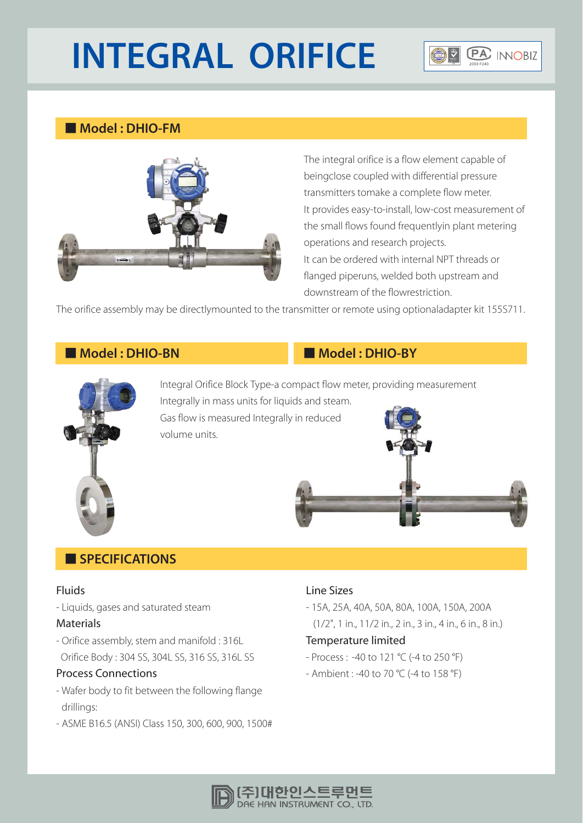# **INTEGRAL ORIFICE**



# ơ **Model : DHIO-FM**



The integral orifice is a flow element capable of beingclose coupled with differential pressure transmitters tomake a complete flow meter. It provides easy-to-install, low-cost measurement of the small flows found frequentlyin plant metering operations and research projects. It can be ordered with internal NPT threads or flanged piperuns, welded both upstream and downstream of the flowrestriction.

The orifice assembly may be directlymounted to the transmitter or remote using optionaladapter kit 155S711.

# **Model : DHIO-BN Model : DHIO-BY**



Integral Orifice Block Type-a compact flow meter, providing measurement Integrally in mass units for liquids and steam. Gas flow is measured Integrally in reduced volume units.



## **SPECIFICATIONS**

#### Fluids

- Liquids, gases and saturated steam

#### Materials

- Orifice assembly, stem and manifold : 316L Orifice Body : 304 SS, 304L SS, 316 SS, 316L SS

#### Process Connections

- Wafer body to fit between the following flange drillings:
- ASME B16.5 (ANSI) Class 150, 300, 600, 900, 1500#

#### Line Sizes

- 15A, 25A, 40A, 50A, 80A, 100A, 150A, 200A (1/2", 1 in., 11/2 in., 2 in., 3 in., 4 in., 6 in., 8 in.)

#### Temperature limited

- Process : -40 to 121 °C (-4 to 250 °F)
- Ambient : -40 to 70 °C (-4 to 158 °F)